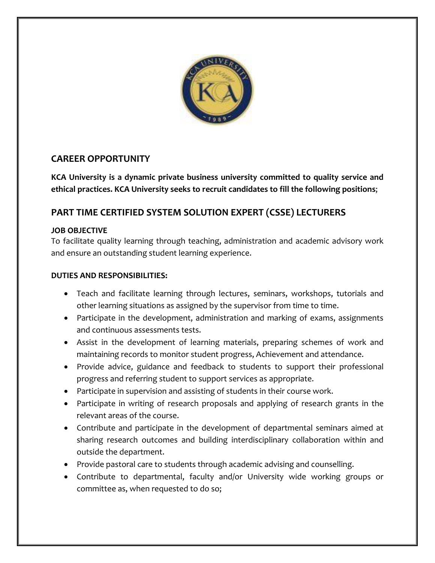

## **CAREER OPPORTUNITY**

**KCA University is a dynamic private business university committed to quality service and ethical practices. KCA University seeks to recruit candidates to fill the following positions**;

# **PART TIME CERTIFIED SYSTEM SOLUTION EXPERT (CSSE) LECTURERS**

### **JOB OBJECTIVE**

To facilitate quality learning through teaching, administration and academic advisory work and ensure an outstanding student learning experience.

### **DUTIES AND RESPONSIBILITIES:**

- Teach and facilitate learning through lectures, seminars, workshops, tutorials and other learning situations as assigned by the supervisor from time to time.
- Participate in the development, administration and marking of exams, assignments and continuous assessments tests.
- Assist in the development of learning materials, preparing schemes of work and maintaining records to monitor student progress, Achievement and attendance.
- Provide advice, guidance and feedback to students to support their professional progress and referring student to support services as appropriate.
- Participate in supervision and assisting of students in their course work.
- Participate in writing of research proposals and applying of research grants in the relevant areas of the course.
- Contribute and participate in the development of departmental seminars aimed at sharing research outcomes and building interdisciplinary collaboration within and outside the department.
- Provide pastoral care to students through academic advising and counselling.
- Contribute to departmental, faculty and/or University wide working groups or committee as, when requested to do so;